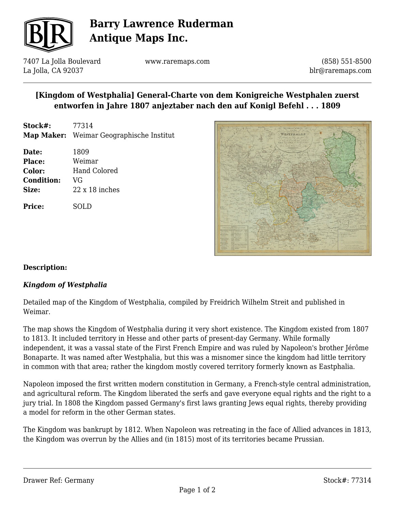

# **Barry Lawrence Ruderman Antique Maps Inc.**

7407 La Jolla Boulevard La Jolla, CA 92037

www.raremaps.com

(858) 551-8500 blr@raremaps.com

### **[Kingdom of Westphalia] General-Charte von dem Konigreiche Westphalen zuerst entworfen in Jahre 1807 anjeztaber nach den auf Konigl Befehl . . . 1809**

- **Stock#:** 77314 **Map Maker:** Weimar Geographische Institut
- **Date:** 1809 **Place:** Weimar **Color:** Hand Colored **Condition:** VG **Size:** 22 x 18 inches

**Price:** SOLD



#### **Description:**

#### *Kingdom of Westphalia*

Detailed map of the Kingdom of Westphalia, compiled by Freidrich Wilhelm Streit and published in Weimar.

The map shows the Kingdom of Westphalia during it very short existence. The Kingdom existed from 1807 to 1813. It included territory in Hesse and other parts of present-day Germany. While formally independent, it was a vassal state of the First French Empire and was ruled by Napoleon's brother Jérôme Bonaparte. It was named after Westphalia, but this was a misnomer since the kingdom had little territory in common with that area; rather the kingdom mostly covered territory formerly known as Eastphalia.

Napoleon imposed the first written modern constitution in Germany, a French-style central administration, and agricultural reform. The Kingdom liberated the serfs and gave everyone equal rights and the right to a jury trial. In 1808 the Kingdom passed Germany's first laws granting Jews equal rights, thereby providing a model for reform in the other German states.

The Kingdom was bankrupt by 1812. When Napoleon was retreating in the face of Allied advances in 1813, the Kingdom was overrun by the Allies and (in 1815) most of its territories became Prussian.